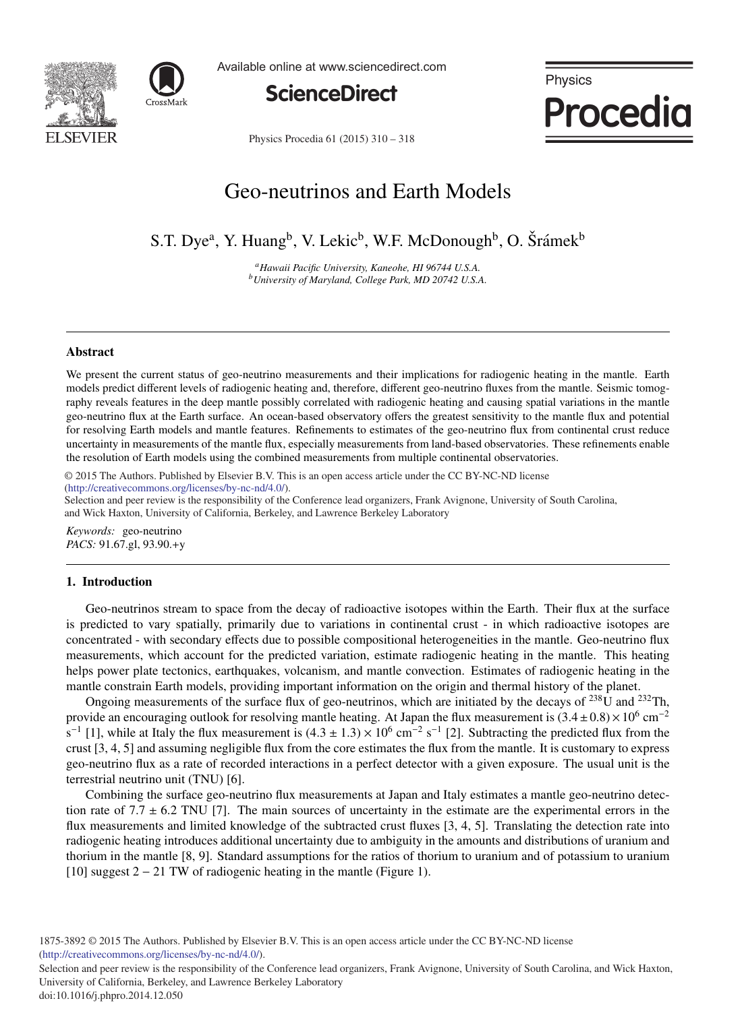



Available online at www.sciencedirect.com



Physics **Procedia** 

Physics Procedia 61 (2015) 310 - 318

# Geo-neutrinos and Earth Models

S.T. Dye<sup>a</sup>, Y. Huang<sup>b</sup>, V. Lekic<sup>b</sup>, W.F. McDonough<sup>b</sup>, O. Šrámek<sup>b</sup>

*aHawaii Pacific University, Kaneohe, HI 96744 U.S.A. bUniversity of Maryland, College Park, MD 20742 U.S.A.*

### **Abstract**

We present the current status of geo-neutrino measurements and their implications for radiogenic heating in the mantle. Earth models predict different levels of radiogenic heating and, therefore, different geo-neutrino fluxes from the mantle. Seismic tomography reveals features in the deep mantle possibly correlated with radiogenic heating and causing spatial variations in the mantle geo-neutrino flux at the Earth surface. An ocean-based observatory offers the greatest sensitivity to the mantle flux and potential for resolving Earth models and mantle features. Refinements to estimates of the geo-neutrino flux from continental crust reduce uncertainty in measurements of the mantle flux, especially measurements from land-based observatories. These refinements enable the resolution of Earth models using the combined measurements from multiple continental observatories.

(http://creativecommons.org/licenses/by-nc-nd/4.0/). © 2015 The Authors. Published by Elsevier B.V. This is an open access article under the CC BY-NC-ND license

Selection and peer review is the responsibility of the Conference lead organizers, Frank Avignone, University of South Carolina, and Wick Haxton, University of California, Berkeley, and Lawrence Berkeley Laboratory

*Keywords:* geo-neutrino *PACS:* 91.67.gl, 93.90.+y

#### 1. Introduction

Geo-neutrinos stream to space from the decay of radioactive isotopes within the Earth. Their flux at the surface is predicted to vary spatially, primarily due to variations in continental crust - in which radioactive isotopes are concentrated - with secondary effects due to possible compositional heterogeneities in the mantle. Geo-neutrino flux measurements, which account for the predicted variation, estimate radiogenic heating in the mantle. This heating helps power plate tectonics, earthquakes, volcanism, and mantle convection. Estimates of radiogenic heating in the mantle constrain Earth models, providing important information on the origin and thermal history of the planet.

Ongoing measurements of the surface flux of geo-neutrinos, which are initiated by the decays of  $^{238}$ U and  $^{232}$ Th, provide an encouraging outlook for resolving mantle heating. At Japan the flux measurement is  $(3.4 \pm 0.8) \times 10^6$  cm<sup>-2</sup> s<sup>-1</sup> [1], while at Italy the flux measurement is  $(4.3 \pm 1.3) \times 10^6$  cm<sup>-2</sup> s<sup>-1</sup> [2]. Subtracting the predicted flux from the crust [3, 4, 5] and assuming negligible flux from the core estimates the flux from the mantle. It is customary to express geo-neutrino flux as a rate of recorded interactions in a perfect detector with a given exposure. The usual unit is the terrestrial neutrino unit (TNU) [6].

Combining the surface geo-neutrino flux measurements at Japan and Italy estimates a mantle geo-neutrino detection rate of 7.7  $\pm$  6.2 TNU [7]. The main sources of uncertainty in the estimate are the experimental errors in the flux measurements and limited knowledge of the subtracted crust fluxes [3, 4, 5]. Translating the detection rate into radiogenic heating introduces additional uncertainty due to ambiguity in the amounts and distributions of uranium and thorium in the mantle [8, 9]. Standard assumptions for the ratios of thorium to uranium and of potassium to uranium [10] suggest 2 − 21 TW of radiogenic heating in the mantle (Figure 1).

1875-3892 © 2015 The Authors. Published by Elsevier B.V. This is an open access article under the CC BY-NC-ND license (http://creativecommons.org/licenses/by-nc-nd/4.0/).

Selection and peer review is the responsibility of the Conference lead organizers, Frank Avignone, University of South Carolina, and Wick Haxton, University of California, Berkeley, and Lawrence Berkeley Laboratory doi: 10.1016/j.phpro.2014.12.050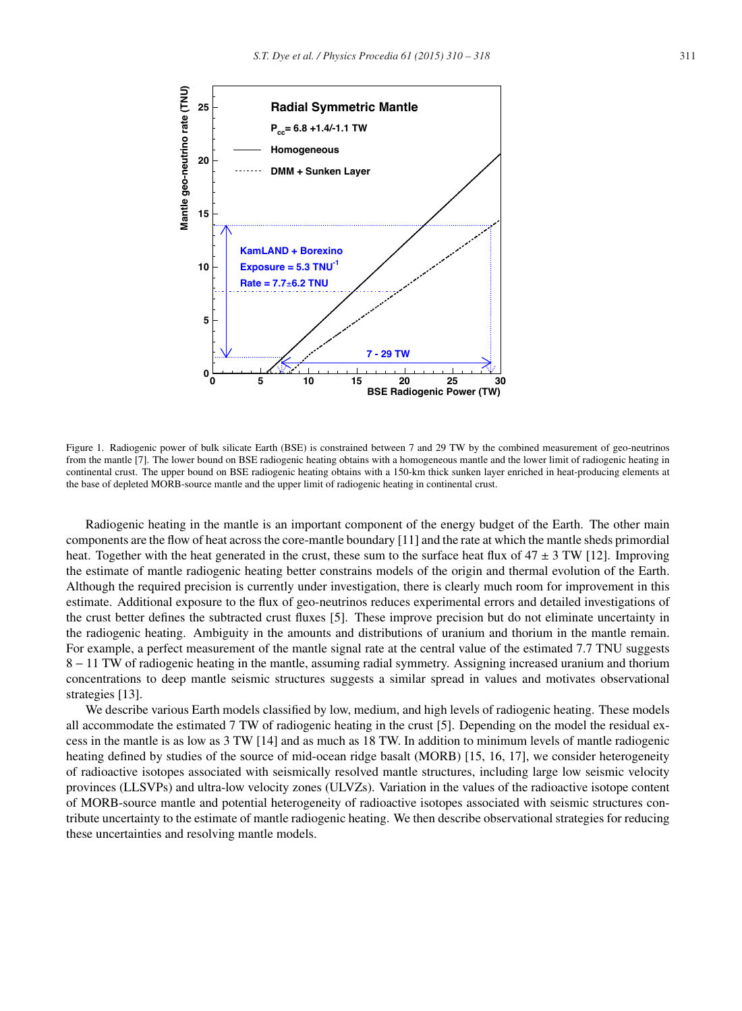

Figure 1. Radiogenic power of bulk silicate Earth (BSE) is constrained between 7 and 29 TW by the combined measurement of geo-neutrinos from the mantle [7]. The lower bound on BSE radiogenic heating obtains with a homogeneous mantle and the lower limit of radiogenic heating in continental crust. The upper bound on BSE radiogenic heating obtains with a 150-km thick sunken layer enriched in heat-producing elements at the base of depleted MORB-source mantle and the upper limit of radiogenic heating in continental crust.

Radiogenic heating in the mantle is an important component of the energy budget of the Earth. The other main components are the flow of heat across the core-mantle boundary [11] and the rate at which the mantle sheds primordial heat. Together with the heat generated in the crust, these sum to the surface heat flux of  $47 \pm 3$  TW [12]. Improving the estimate of mantle radiogenic heating better constrains models of the origin and thermal evolution of the Earth. Although the required precision is currently under investigation, there is clearly much room for improvement in this estimate. Additional exposure to the flux of geo-neutrinos reduces experimental errors and detailed investigations of the crust better defines the subtracted crust fluxes [5]. These improve precision but do not eliminate uncertainty in the radiogenic heating. Ambiguity in the amounts and distributions of uranium and thorium in the mantle remain. For example, a perfect measurement of the mantle signal rate at the central value of the estimated 7.7 TNU suggests 8 − 11 TW of radiogenic heating in the mantle, assuming radial symmetry. Assigning increased uranium and thorium concentrations to deep mantle seismic structures suggests a similar spread in values and motivates observational strategies [13].

We describe various Earth models classified by low, medium, and high levels of radiogenic heating. These models all accommodate the estimated 7 TW of radiogenic heating in the crust [5]. Depending on the model the residual excess in the mantle is as low as 3 TW [14] and as much as 18 TW. In addition to minimum levels of mantle radiogenic heating defined by studies of the source of mid-ocean ridge basalt (MORB) [15, 16, 17], we consider heterogeneity of radioactive isotopes associated with seismically resolved mantle structures, including large low seismic velocity provinces (LLSVPs) and ultra-low velocity zones (ULVZs). Variation in the values of the radioactive isotope content of MORB-source mantle and potential heterogeneity of radioactive isotopes associated with seismic structures contribute uncertainty to the estimate of mantle radiogenic heating. We then describe observational strategies for reducing these uncertainties and resolving mantle models.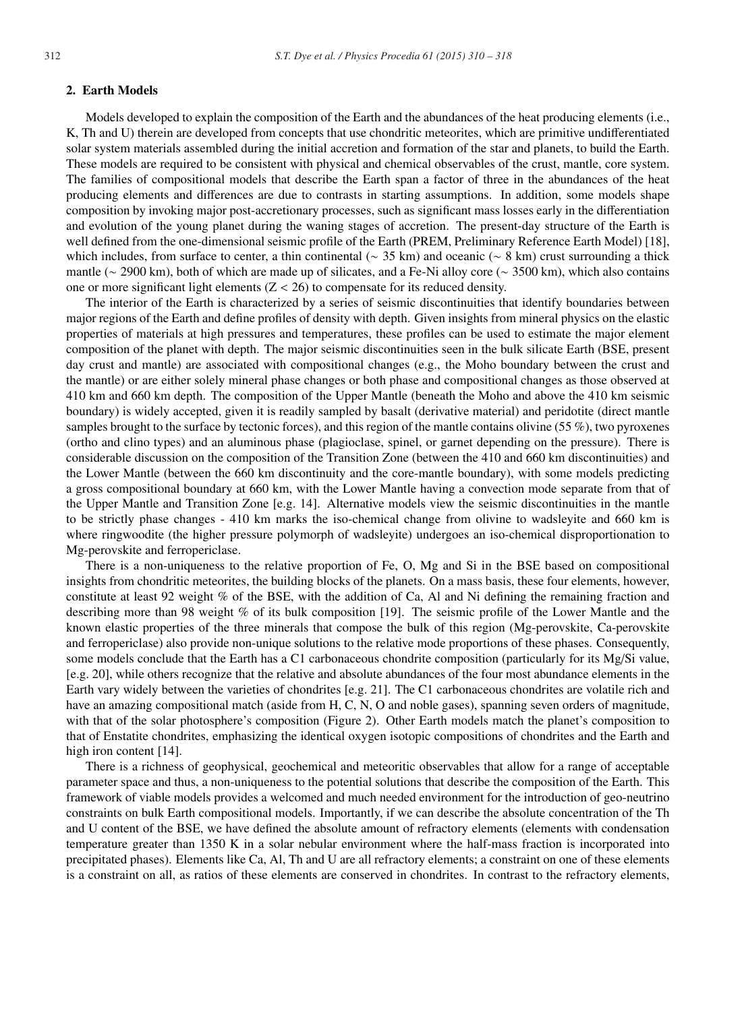#### 2. Earth Models

Models developed to explain the composition of the Earth and the abundances of the heat producing elements (i.e., K, Th and U) therein are developed from concepts that use chondritic meteorites, which are primitive undifferentiated solar system materials assembled during the initial accretion and formation of the star and planets, to build the Earth. These models are required to be consistent with physical and chemical observables of the crust, mantle, core system. The families of compositional models that describe the Earth span a factor of three in the abundances of the heat producing elements and differences are due to contrasts in starting assumptions. In addition, some models shape composition by invoking major post-accretionary processes, such as significant mass losses early in the differentiation and evolution of the young planet during the waning stages of accretion. The present-day structure of the Earth is well defined from the one-dimensional seismic profile of the Earth (PREM, Preliminary Reference Earth Model) [18], which includes, from surface to center, a thin continental ( $~35 \text{ km}$ ) and oceanic ( $~8 \text{ km}$ ) crust surrounding a thick mantle (∼ 2900 km), both of which are made up of silicates, and a Fe-Ni alloy core (∼ 3500 km), which also contains one or more significant light elements  $(Z < 26)$  to compensate for its reduced density.

The interior of the Earth is characterized by a series of seismic discontinuities that identify boundaries between major regions of the Earth and define profiles of density with depth. Given insights from mineral physics on the elastic properties of materials at high pressures and temperatures, these profiles can be used to estimate the major element composition of the planet with depth. The major seismic discontinuities seen in the bulk silicate Earth (BSE, present day crust and mantle) are associated with compositional changes (e.g., the Moho boundary between the crust and the mantle) or are either solely mineral phase changes or both phase and compositional changes as those observed at 410 km and 660 km depth. The composition of the Upper Mantle (beneath the Moho and above the 410 km seismic boundary) is widely accepted, given it is readily sampled by basalt (derivative material) and peridotite (direct mantle samples brought to the surface by tectonic forces), and this region of the mantle contains olivine (55 %), two pyroxenes (ortho and clino types) and an aluminous phase (plagioclase, spinel, or garnet depending on the pressure). There is considerable discussion on the composition of the Transition Zone (between the 410 and 660 km discontinuities) and the Lower Mantle (between the 660 km discontinuity and the core-mantle boundary), with some models predicting a gross compositional boundary at 660 km, with the Lower Mantle having a convection mode separate from that of the Upper Mantle and Transition Zone [e.g. 14]. Alternative models view the seismic discontinuities in the mantle to be strictly phase changes - 410 km marks the iso-chemical change from olivine to wadsleyite and 660 km is where ringwoodite (the higher pressure polymorph of wadsleyite) undergoes an iso-chemical disproportionation to Mg-perovskite and ferropericlase.

There is a non-uniqueness to the relative proportion of Fe, O, Mg and Si in the BSE based on compositional insights from chondritic meteorites, the building blocks of the planets. On a mass basis, these four elements, however, constitute at least 92 weight % of the BSE, with the addition of Ca, Al and Ni defining the remaining fraction and describing more than 98 weight % of its bulk composition [19]. The seismic profile of the Lower Mantle and the known elastic properties of the three minerals that compose the bulk of this region (Mg-perovskite, Ca-perovskite and ferropericlase) also provide non-unique solutions to the relative mode proportions of these phases. Consequently, some models conclude that the Earth has a C1 carbonaceous chondrite composition (particularly for its Mg/Si value, [e.g. 20], while others recognize that the relative and absolute abundances of the four most abundance elements in the Earth vary widely between the varieties of chondrites [e.g. 21]. The C1 carbonaceous chondrites are volatile rich and have an amazing compositional match (aside from H, C, N, O and noble gases), spanning seven orders of magnitude, with that of the solar photosphere's composition (Figure 2). Other Earth models match the planet's composition to that of Enstatite chondrites, emphasizing the identical oxygen isotopic compositions of chondrites and the Earth and high iron content [14].

There is a richness of geophysical, geochemical and meteoritic observables that allow for a range of acceptable parameter space and thus, a non-uniqueness to the potential solutions that describe the composition of the Earth. This framework of viable models provides a welcomed and much needed environment for the introduction of geo-neutrino constraints on bulk Earth compositional models. Importantly, if we can describe the absolute concentration of the Th and U content of the BSE, we have defined the absolute amount of refractory elements (elements with condensation temperature greater than 1350 K in a solar nebular environment where the half-mass fraction is incorporated into precipitated phases). Elements like Ca, Al, Th and U are all refractory elements; a constraint on one of these elements is a constraint on all, as ratios of these elements are conserved in chondrites. In contrast to the refractory elements,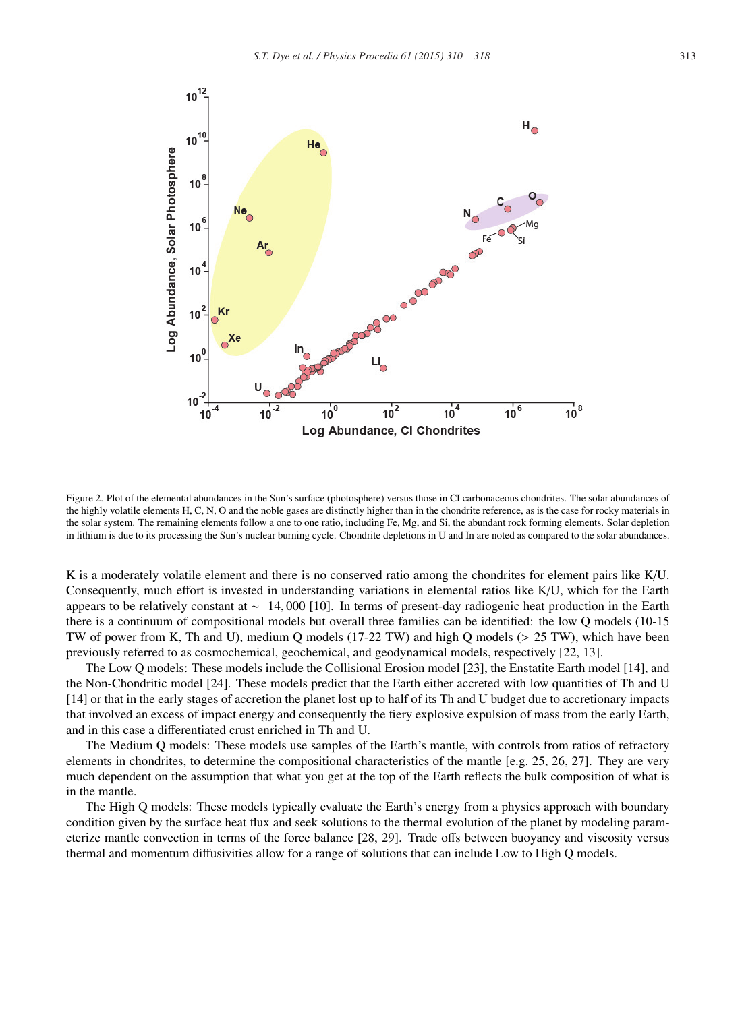

Figure 2. Plot of the elemental abundances in the Sun's surface (photosphere) versus those in CI carbonaceous chondrites. The solar abundances of the highly volatile elements H, C, N, O and the noble gases are distinctly higher than in the chondrite reference, as is the case for rocky materials in the solar system. The remaining elements follow a one to one ratio, including Fe, Mg, and Si, the abundant rock forming elements. Solar depletion in lithium is due to its processing the Sun's nuclear burning cycle. Chondrite depletions in U and In are noted as compared to the solar abundances.

K is a moderately volatile element and there is no conserved ratio among the chondrites for element pairs like K/U. Consequently, much effort is invested in understanding variations in elemental ratios like K/U, which for the Earth appears to be relatively constant at ∼ 14, 000 [10]. In terms of present-day radiogenic heat production in the Earth there is a continuum of compositional models but overall three families can be identified: the low Q models (10-15 TW of power from K, Th and U), medium Q models (17-22 TW) and high Q models (> 25 TW), which have been previously referred to as cosmochemical, geochemical, and geodynamical models, respectively [22, 13].

The Low Q models: These models include the Collisional Erosion model [23], the Enstatite Earth model [14], and the Non-Chondritic model [24]. These models predict that the Earth either accreted with low quantities of Th and U [14] or that in the early stages of accretion the planet lost up to half of its Th and U budget due to accretionary impacts that involved an excess of impact energy and consequently the fiery explosive expulsion of mass from the early Earth, and in this case a differentiated crust enriched in Th and U.

The Medium Q models: These models use samples of the Earth's mantle, with controls from ratios of refractory elements in chondrites, to determine the compositional characteristics of the mantle [e.g. 25, 26, 27]. They are very much dependent on the assumption that what you get at the top of the Earth reflects the bulk composition of what is in the mantle.

The High Q models: These models typically evaluate the Earth's energy from a physics approach with boundary condition given by the surface heat flux and seek solutions to the thermal evolution of the planet by modeling parameterize mantle convection in terms of the force balance [28, 29]. Trade offs between buoyancy and viscosity versus thermal and momentum diffusivities allow for a range of solutions that can include Low to High Q models.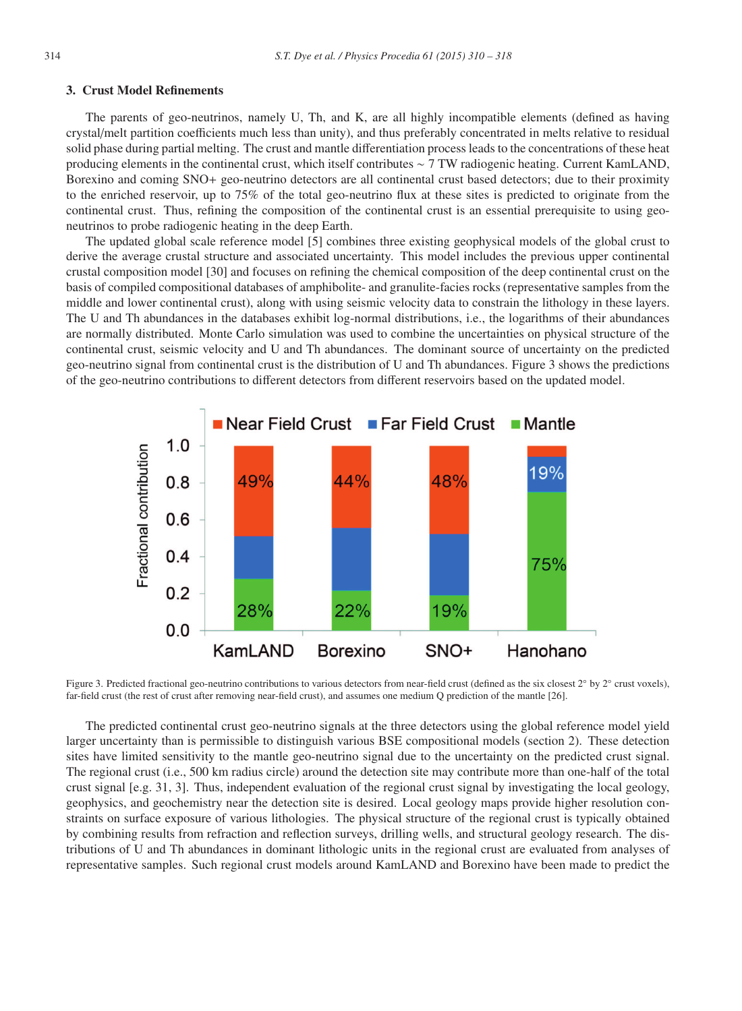#### 3. Crust Model Refinements

The parents of geo-neutrinos, namely U, Th, and K, are all highly incompatible elements (defined as having crystal/melt partition coefficients much less than unity), and thus preferably concentrated in melts relative to residual solid phase during partial melting. The crust and mantle differentiation process leads to the concentrations of these heat producing elements in the continental crust, which itself contributes ∼ 7 TW radiogenic heating. Current KamLAND, Borexino and coming SNO+ geo-neutrino detectors are all continental crust based detectors; due to their proximity to the enriched reservoir, up to 75% of the total geo-neutrino flux at these sites is predicted to originate from the continental crust. Thus, refining the composition of the continental crust is an essential prerequisite to using geoneutrinos to probe radiogenic heating in the deep Earth.

The updated global scale reference model [5] combines three existing geophysical models of the global crust to derive the average crustal structure and associated uncertainty. This model includes the previous upper continental crustal composition model [30] and focuses on refining the chemical composition of the deep continental crust on the basis of compiled compositional databases of amphibolite- and granulite-facies rocks (representative samples from the middle and lower continental crust), along with using seismic velocity data to constrain the lithology in these layers. The U and Th abundances in the databases exhibit log-normal distributions, i.e., the logarithms of their abundances are normally distributed. Monte Carlo simulation was used to combine the uncertainties on physical structure of the continental crust, seismic velocity and U and Th abundances. The dominant source of uncertainty on the predicted geo-neutrino signal from continental crust is the distribution of U and Th abundances. Figure 3 shows the predictions of the geo-neutrino contributions to different detectors from different reservoirs based on the updated model.



Figure 3. Predicted fractional geo-neutrino contributions to various detectors from near-field crust (defined as the six closest 2◦ by 2◦ crust voxels), far-field crust (the rest of crust after removing near-field crust), and assumes one medium Q prediction of the mantle [26].

The predicted continental crust geo-neutrino signals at the three detectors using the global reference model yield larger uncertainty than is permissible to distinguish various BSE compositional models (section 2). These detection sites have limited sensitivity to the mantle geo-neutrino signal due to the uncertainty on the predicted crust signal. The regional crust (i.e., 500 km radius circle) around the detection site may contribute more than one-half of the total crust signal [e.g. 31, 3]. Thus, independent evaluation of the regional crust signal by investigating the local geology, geophysics, and geochemistry near the detection site is desired. Local geology maps provide higher resolution constraints on surface exposure of various lithologies. The physical structure of the regional crust is typically obtained by combining results from refraction and reflection surveys, drilling wells, and structural geology research. The distributions of U and Th abundances in dominant lithologic units in the regional crust are evaluated from analyses of representative samples. Such regional crust models around KamLAND and Borexino have been made to predict the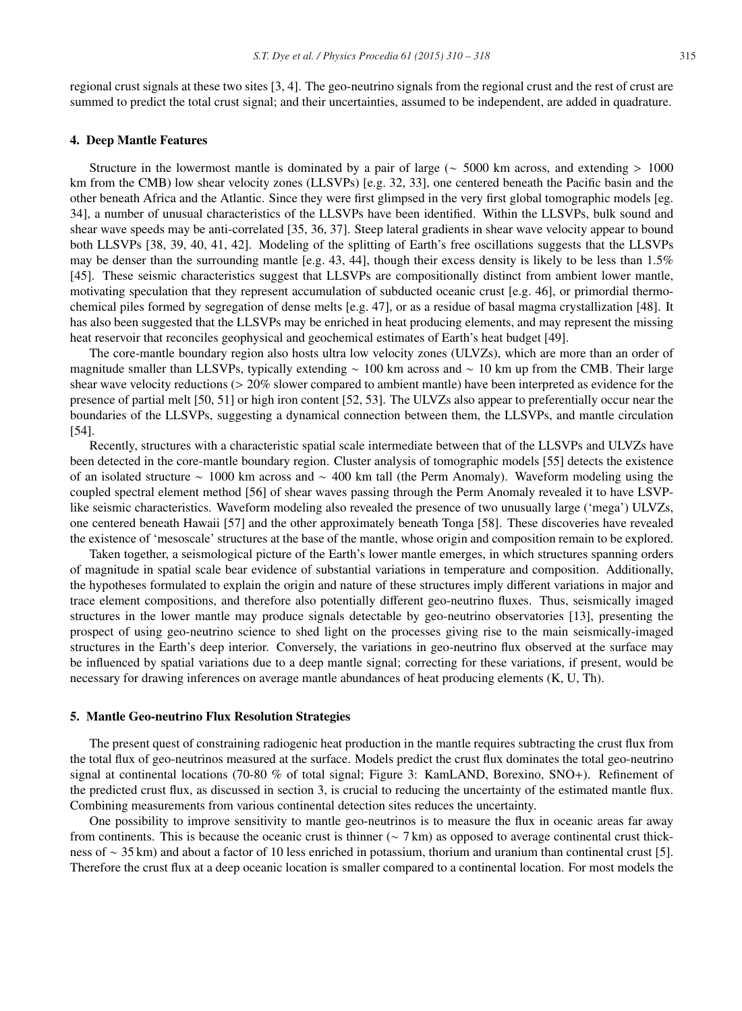regional crust signals at these two sites [3, 4]. The geo-neutrino signals from the regional crust and the rest of crust are summed to predict the total crust signal; and their uncertainties, assumed to be independent, are added in quadrature.

#### 4. Deep Mantle Features

Structure in the lowermost mantle is dominated by a pair of large ( $\sim$  5000 km across, and extending > 1000 km from the CMB) low shear velocity zones (LLSVPs) [e.g. 32, 33], one centered beneath the Pacific basin and the other beneath Africa and the Atlantic. Since they were first glimpsed in the very first global tomographic models [eg. 34], a number of unusual characteristics of the LLSVPs have been identified. Within the LLSVPs, bulk sound and shear wave speeds may be anti-correlated [35, 36, 37]. Steep lateral gradients in shear wave velocity appear to bound both LLSVPs [38, 39, 40, 41, 42]. Modeling of the splitting of Earth's free oscillations suggests that the LLSVPs may be denser than the surrounding mantle [e.g. 43, 44], though their excess density is likely to be less than  $1.5\%$ [45]. These seismic characteristics suggest that LLSVPs are compositionally distinct from ambient lower mantle, motivating speculation that they represent accumulation of subducted oceanic crust [e.g. 46], or primordial thermochemical piles formed by segregation of dense melts [e.g. 47], or as a residue of basal magma crystallization [48]. It has also been suggested that the LLSVPs may be enriched in heat producing elements, and may represent the missing heat reservoir that reconciles geophysical and geochemical estimates of Earth's heat budget [49].

The core-mantle boundary region also hosts ultra low velocity zones (ULVZs), which are more than an order of magnitude smaller than LLSVPs, typically extending ∼ 100 km across and ∼ 10 km up from the CMB. Their large shear wave velocity reductions (> 20% slower compared to ambient mantle) have been interpreted as evidence for the presence of partial melt [50, 51] or high iron content [52, 53]. The ULVZs also appear to preferentially occur near the boundaries of the LLSVPs, suggesting a dynamical connection between them, the LLSVPs, and mantle circulation [54].

Recently, structures with a characteristic spatial scale intermediate between that of the LLSVPs and ULVZs have been detected in the core-mantle boundary region. Cluster analysis of tomographic models [55] detects the existence of an isolated structure ∼ 1000 km across and ∼ 400 km tall (the Perm Anomaly). Waveform modeling using the coupled spectral element method [56] of shear waves passing through the Perm Anomaly revealed it to have LSVPlike seismic characteristics. Waveform modeling also revealed the presence of two unusually large ('mega') ULVZs, one centered beneath Hawaii [57] and the other approximately beneath Tonga [58]. These discoveries have revealed the existence of 'mesoscale' structures at the base of the mantle, whose origin and composition remain to be explored.

Taken together, a seismological picture of the Earth's lower mantle emerges, in which structures spanning orders of magnitude in spatial scale bear evidence of substantial variations in temperature and composition. Additionally, the hypotheses formulated to explain the origin and nature of these structures imply different variations in major and trace element compositions, and therefore also potentially different geo-neutrino fluxes. Thus, seismically imaged structures in the lower mantle may produce signals detectable by geo-neutrino observatories [13], presenting the prospect of using geo-neutrino science to shed light on the processes giving rise to the main seismically-imaged structures in the Earth's deep interior. Conversely, the variations in geo-neutrino flux observed at the surface may be influenced by spatial variations due to a deep mantle signal; correcting for these variations, if present, would be necessary for drawing inferences on average mantle abundances of heat producing elements (K, U, Th).

#### 5. Mantle Geo-neutrino Flux Resolution Strategies

The present quest of constraining radiogenic heat production in the mantle requires subtracting the crust flux from the total flux of geo-neutrinos measured at the surface. Models predict the crust flux dominates the total geo-neutrino signal at continental locations (70-80 % of total signal; Figure 3: KamLAND, Borexino, SNO+). Refinement of the predicted crust flux, as discussed in section 3, is crucial to reducing the uncertainty of the estimated mantle flux. Combining measurements from various continental detection sites reduces the uncertainty.

One possibility to improve sensitivity to mantle geo-neutrinos is to measure the flux in oceanic areas far away from continents. This is because the oceanic crust is thinner ( $\sim$  7 km) as opposed to average continental crust thickness of ∼ 35 km) and about a factor of 10 less enriched in potassium, thorium and uranium than continental crust [5]. Therefore the crust flux at a deep oceanic location is smaller compared to a continental location. For most models the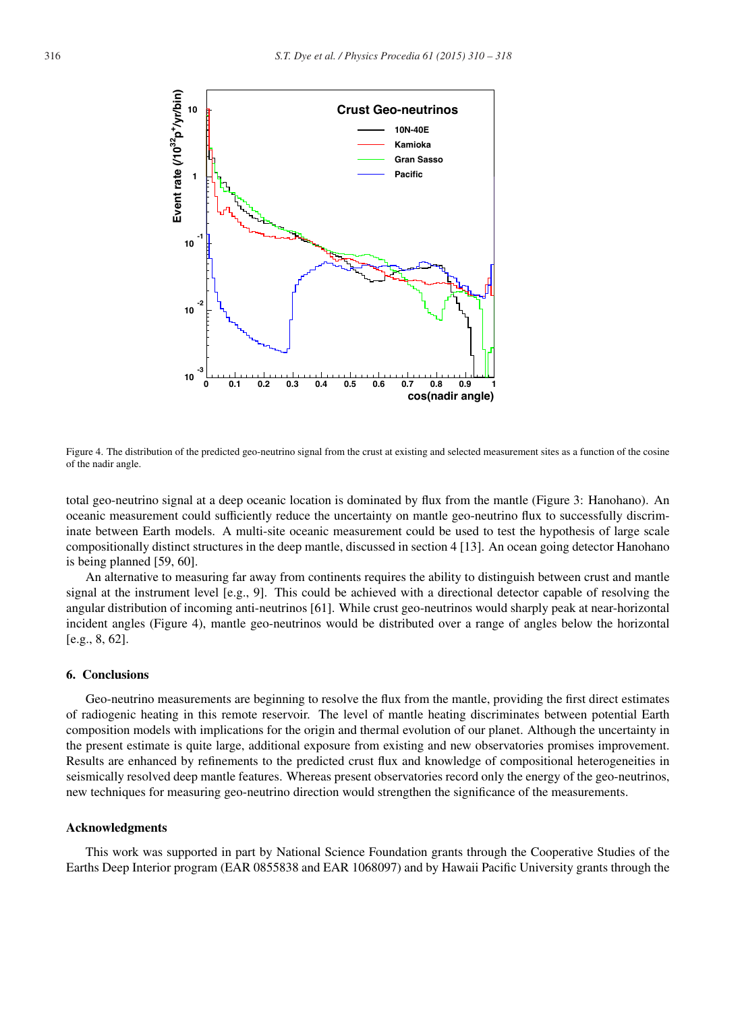

Figure 4. The distribution of the predicted geo-neutrino signal from the crust at existing and selected measurement sites as a function of the cosine of the nadir angle.

total geo-neutrino signal at a deep oceanic location is dominated by flux from the mantle (Figure 3: Hanohano). An oceanic measurement could sufficiently reduce the uncertainty on mantle geo-neutrino flux to successfully discriminate between Earth models. A multi-site oceanic measurement could be used to test the hypothesis of large scale compositionally distinct structures in the deep mantle, discussed in section 4 [13]. An ocean going detector Hanohano is being planned [59, 60].

An alternative to measuring far away from continents requires the ability to distinguish between crust and mantle signal at the instrument level [e.g., 9]. This could be achieved with a directional detector capable of resolving the angular distribution of incoming anti-neutrinos [61]. While crust geo-neutrinos would sharply peak at near-horizontal incident angles (Figure 4), mantle geo-neutrinos would be distributed over a range of angles below the horizontal [e.g., 8, 62].

# 6. Conclusions

Geo-neutrino measurements are beginning to resolve the flux from the mantle, providing the first direct estimates of radiogenic heating in this remote reservoir. The level of mantle heating discriminates between potential Earth composition models with implications for the origin and thermal evolution of our planet. Although the uncertainty in the present estimate is quite large, additional exposure from existing and new observatories promises improvement. Results are enhanced by refinements to the predicted crust flux and knowledge of compositional heterogeneities in seismically resolved deep mantle features. Whereas present observatories record only the energy of the geo-neutrinos, new techniques for measuring geo-neutrino direction would strengthen the significance of the measurements.

#### Acknowledgments

This work was supported in part by National Science Foundation grants through the Cooperative Studies of the Earths Deep Interior program (EAR 0855838 and EAR 1068097) and by Hawaii Pacific University grants through the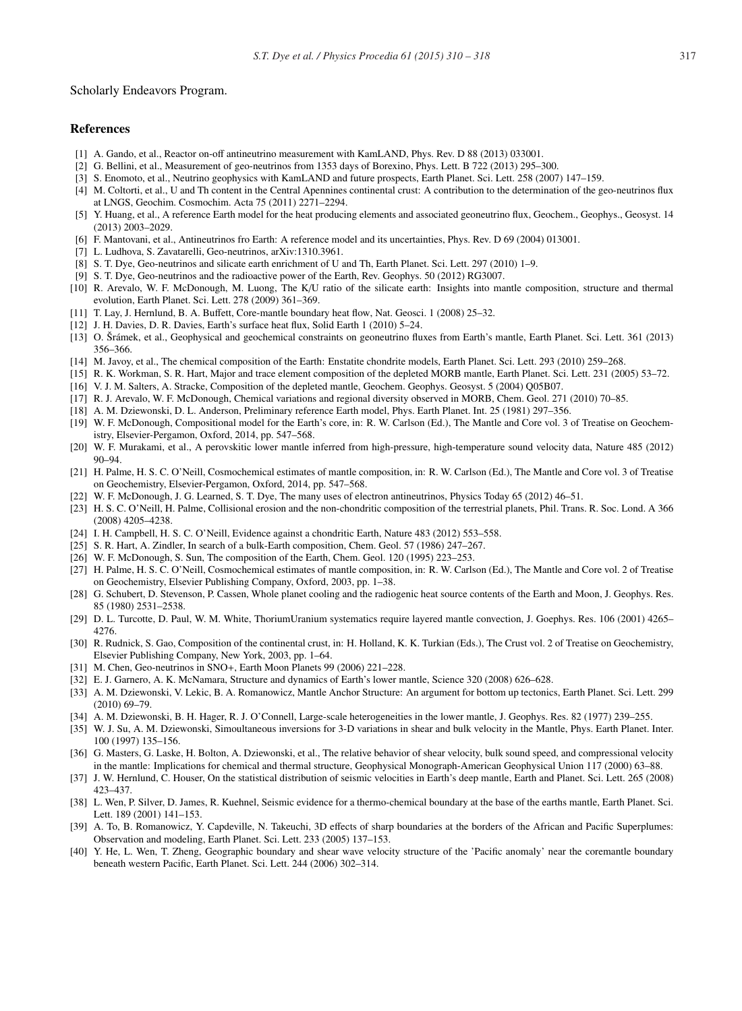#### Scholarly Endeavors Program.

## References

- [1] A. Gando, et al., Reactor on-off antineutrino measurement with KamLAND, Phys. Rev. D 88 (2013) 033001.
- [2] G. Bellini, et al., Measurement of geo-neutrinos from 1353 days of Borexino, Phys. Lett. B 722 (2013) 295–300.
- [3] S. Enomoto, et al., Neutrino geophysics with KamLAND and future prospects, Earth Planet. Sci. Lett. 258 (2007) 147–159.
- [4] M. Coltorti, et al., U and Th content in the Central Apennines continental crust: A contribution to the determination of the geo-neutrinos flux at LNGS, Geochim. Cosmochim. Acta 75 (2011) 2271–2294.
- [5] Y. Huang, et al., A reference Earth model for the heat producing elements and associated geoneutrino flux, Geochem., Geophys., Geosyst. 14 (2013) 2003–2029.
- [6] F. Mantovani, et al., Antineutrinos fro Earth: A reference model and its uncertainties, Phys. Rev. D 69 (2004) 013001.
- [7] L. Ludhova, S. Zavatarelli, Geo-neutrinos, arXiv:1310.3961.
- [8] S. T. Dye, Geo-neutrinos and silicate earth enrichment of U and Th, Earth Planet. Sci. Lett. 297 (2010) 1–9.
- [9] S. T. Dye, Geo-neutrinos and the radioactive power of the Earth, Rev. Geophys. 50 (2012) RG3007.
- [10] R. Arevalo, W. F. McDonough, M. Luong, The K/U ratio of the silicate earth: Insights into mantle composition, structure and thermal evolution, Earth Planet. Sci. Lett. 278 (2009) 361–369.
- [11] T. Lay, J. Hernlund, B. A. Buffett, Core-mantle boundary heat flow, Nat. Geosci. 1 (2008) 25–32.
- [12] J. H. Davies, D. R. Davies, Earth's surface heat flux, Solid Earth 1 (2010) 5–24.
- [13] O. Šrámek, et al., Geophysical and geochemical constraints on geoneutrino fluxes from Earth's mantle, Earth Planet. Sci. Lett. 361 (2013) 356–366.
- [14] M. Javoy, et al., The chemical composition of the Earth: Enstatite chondrite models, Earth Planet. Sci. Lett. 293 (2010) 259–268.
- [15] R. K. Workman, S. R. Hart, Major and trace element composition of the depleted MORB mantle, Earth Planet. Sci. Lett. 231 (2005) 53–72.
- [16] V. J. M. Salters, A. Stracke, Composition of the depleted mantle, Geochem. Geophys. Geosyst. 5 (2004) Q05B07.
- [17] R. J. Arevalo, W. F. McDonough, Chemical variations and regional diversity observed in MORB, Chem. Geol. 271 (2010) 70–85.
- [18] A. M. Dziewonski, D. L. Anderson, Preliminary reference Earth model, Phys. Earth Planet. Int. 25 (1981) 297–356.
- [19] W. F. McDonough, Compositional model for the Earth's core, in: R. W. Carlson (Ed.), The Mantle and Core vol. 3 of Treatise on Geochemistry, Elsevier-Pergamon, Oxford, 2014, pp. 547–568.
- [20] W. F. Murakami, et al., A perovskitic lower mantle inferred from high-pressure, high-temperature sound velocity data, Nature 485 (2012) 90–94.
- [21] H. Palme, H. S. C. O'Neill, Cosmochemical estimates of mantle composition, in: R. W. Carlson (Ed.), The Mantle and Core vol. 3 of Treatise on Geochemistry, Elsevier-Pergamon, Oxford, 2014, pp. 547–568.
- [22] W. F. McDonough, J. G. Learned, S. T. Dye, The many uses of electron antineutrinos, Physics Today 65 (2012) 46–51.
- [23] H. S. C. O'Neill, H. Palme, Collisional erosion and the non-chondritic composition of the terrestrial planets, Phil. Trans. R. Soc. Lond. A 366 (2008) 4205–4238.
- [24] I. H. Campbell, H. S. C. O'Neill, Evidence against a chondritic Earth, Nature 483 (2012) 553–558.
- [25] S. R. Hart, A. Zindler, In search of a bulk-Earth composition, Chem. Geol. 57 (1986) 247–267.
- [26] W. F. McDonough, S. Sun, The composition of the Earth, Chem. Geol. 120 (1995) 223–253.
- [27] H. Palme, H. S. C. O'Neill, Cosmochemical estimates of mantle composition, in: R. W. Carlson (Ed.), The Mantle and Core vol. 2 of Treatise on Geochemistry, Elsevier Publishing Company, Oxford, 2003, pp. 1–38.
- [28] G. Schubert, D. Stevenson, P. Cassen, Whole planet cooling and the radiogenic heat source contents of the Earth and Moon, J. Geophys. Res. 85 (1980) 2531–2538.
- [29] D. L. Turcotte, D. Paul, W. M. White, ThoriumUranium systematics require layered mantle convection, J. Goephys. Res. 106 (2001) 4265– 4276.
- [30] R. Rudnick, S. Gao, Composition of the continental crust, in: H. Holland, K. K. Turkian (Eds.), The Crust vol. 2 of Treatise on Geochemistry, Elsevier Publishing Company, New York, 2003, pp. 1–64.
- [31] M. Chen, Geo-neutrinos in SNO+, Earth Moon Planets 99 (2006) 221-228.
- [32] E. J. Garnero, A. K. McNamara, Structure and dynamics of Earth's lower mantle, Science 320 (2008) 626–628.
- [33] A. M. Dziewonski, V. Lekic, B. A. Romanowicz, Mantle Anchor Structure: An argument for bottom up tectonics, Earth Planet. Sci. Lett. 299 (2010) 69–79.
- [34] A. M. Dziewonski, B. H. Hager, R. J. O'Connell, Large-scale heterogeneities in the lower mantle, J. Geophys. Res. 82 (1977) 239–255.
- [35] W. J. Su, A. M. Dziewonski, Simoultaneous inversions for 3-D variations in shear and bulk velocity in the Mantle, Phys. Earth Planet. Inter. 100 (1997) 135–156.
- [36] G. Masters, G. Laske, H. Bolton, A. Dziewonski, et al., The relative behavior of shear velocity, bulk sound speed, and compressional velocity in the mantle: Implications for chemical and thermal structure, Geophysical Monograph-American Geophysical Union 117 (2000) 63–88.
- [37] J. W. Hernlund, C. Houser, On the statistical distribution of seismic velocities in Earth's deep mantle, Earth and Planet. Sci. Lett. 265 (2008) 423–437.
- [38] L. Wen, P. Silver, D. James, R. Kuehnel, Seismic evidence for a thermo-chemical boundary at the base of the earths mantle, Earth Planet. Sci. Lett. 189 (2001) 141–153.
- [39] A. To, B. Romanowicz, Y. Capdeville, N. Takeuchi, 3D effects of sharp boundaries at the borders of the African and Pacific Superplumes: Observation and modeling, Earth Planet. Sci. Lett. 233 (2005) 137–153.
- [40] Y. He, L. Wen, T. Zheng, Geographic boundary and shear wave velocity structure of the 'Pacific anomaly' near the coremantle boundary beneath western Pacific, Earth Planet. Sci. Lett. 244 (2006) 302–314.